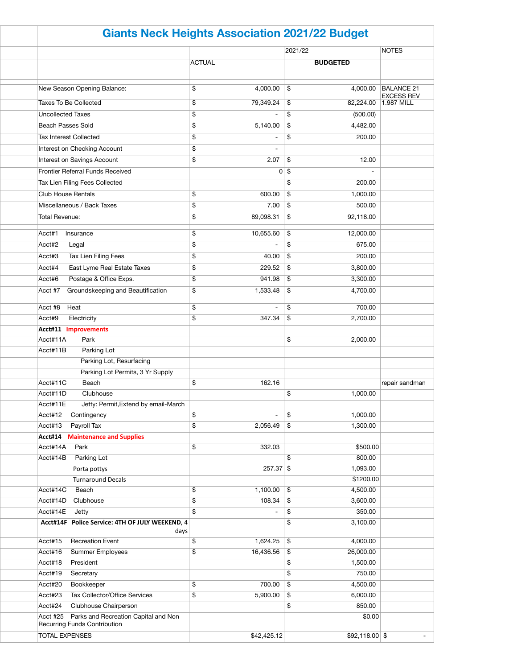|                                                                                         | <b>Giants Neck Heights Association 2021/22 Budget</b> |                          |                 |                                        |  |  |
|-----------------------------------------------------------------------------------------|-------------------------------------------------------|--------------------------|-----------------|----------------------------------------|--|--|
|                                                                                         |                                                       |                          | 2021/22         | <b>NOTES</b>                           |  |  |
|                                                                                         | <b>ACTUAL</b>                                         |                          | <b>BUDGETED</b> |                                        |  |  |
| New Season Opening Balance:                                                             | \$                                                    | 4,000.00                 | \$<br>4,000.00  | <b>BALANCE 21</b><br><b>EXCESS REV</b> |  |  |
| <b>Taxes To Be Collected</b>                                                            | \$                                                    | 79,349.24                | \$<br>82,224.00 | 1.987 MILL                             |  |  |
| <b>Uncollected Taxes</b>                                                                | \$                                                    |                          | \$<br>(500.00)  |                                        |  |  |
| <b>Beach Passes Sold</b>                                                                | \$                                                    | 5,140.00                 | \$<br>4,482.00  |                                        |  |  |
| <b>Tax Interest Collected</b>                                                           | \$                                                    |                          | \$<br>200.00    |                                        |  |  |
| Interest on Checking Account                                                            | \$                                                    |                          |                 |                                        |  |  |
| Interest on Savings Account                                                             | \$                                                    | 2.07                     | \$<br>12.00     |                                        |  |  |
| <b>Frontier Referral Funds Received</b>                                                 |                                                       |                          | $0 \sqrt{3}$    |                                        |  |  |
| Tax Lien Filing Fees Collected                                                          |                                                       |                          | \$<br>200.00    |                                        |  |  |
| <b>Club House Rentals</b>                                                               | \$                                                    | 600.00                   | \$<br>1,000.00  |                                        |  |  |
| Miscellaneous / Back Taxes                                                              | \$                                                    | 7.00                     | \$<br>500.00    |                                        |  |  |
| <b>Total Revenue:</b>                                                                   | \$                                                    | 89,098.31                | \$<br>92,118.00 |                                        |  |  |
|                                                                                         |                                                       |                          |                 |                                        |  |  |
| Acct#1<br>Insurance                                                                     | \$                                                    | 10,655.60                | \$<br>12,000.00 |                                        |  |  |
| Acct#2<br>Legal                                                                         | \$                                                    | $\overline{\phantom{0}}$ | \$<br>675.00    |                                        |  |  |
| Tax Lien Filing Fees<br>Acct#3                                                          | \$                                                    | 40.00                    | \$<br>200.00    |                                        |  |  |
| Acct#4<br>East Lyme Real Estate Taxes                                                   | \$                                                    | 229.52                   | \$<br>3,800.00  |                                        |  |  |
| Acct#6<br>Postage & Office Exps.                                                        | \$                                                    | 941.98                   | 3,300.00<br>\$  |                                        |  |  |
| Groundskeeping and Beautification<br>Acct #7                                            | \$                                                    | 1,533.48                 | \$<br>4,700.00  |                                        |  |  |
|                                                                                         |                                                       |                          |                 |                                        |  |  |
| Acct #8<br>Heat                                                                         | \$                                                    |                          | \$<br>700.00    |                                        |  |  |
| Acct#9<br>Electricity                                                                   | \$                                                    | 347.34                   | \$<br>2,700.00  |                                        |  |  |
| <b>Acct#11 Improvements</b>                                                             |                                                       |                          |                 |                                        |  |  |
| Park<br>Acct#11A                                                                        |                                                       |                          | \$<br>2,000.00  |                                        |  |  |
| Acct#11B<br>Parking Lot                                                                 |                                                       |                          |                 |                                        |  |  |
| Parking Lot, Resurfacing                                                                |                                                       |                          |                 |                                        |  |  |
| Parking Lot Permits, 3 Yr Supply                                                        |                                                       |                          |                 |                                        |  |  |
| Acct#11C<br>Beach                                                                       | \$                                                    | 162.16                   |                 | repair sandman                         |  |  |
| Acct#11D<br>Clubhouse                                                                   |                                                       |                          | \$<br>1,000.00  |                                        |  |  |
| Jetty: Permit, Extend by email-March<br>Acct#11E                                        |                                                       |                          |                 |                                        |  |  |
| Acct#12<br>Contingency                                                                  | \$                                                    |                          | \$<br>1,000.00  |                                        |  |  |
| Payroll Tax<br>Acct#13                                                                  | \$                                                    | 2,056.49                 | \$<br>1,300.00  |                                        |  |  |
| <b>Acct#14 Maintenance and Supplies</b><br>Acct#14A<br>Park                             | \$                                                    | 332.03                   | \$500.00        |                                        |  |  |
| Acct#14B<br>Parking Lot                                                                 |                                                       |                          | \$<br>800.00    |                                        |  |  |
| Porta pottys                                                                            |                                                       | $257.37$ \$              | 1,093.00        |                                        |  |  |
| <b>Turnaround Decals</b>                                                                |                                                       |                          | \$1200.00       |                                        |  |  |
| Acct#14C<br>Beach                                                                       | \$                                                    | 1,100.00                 | \$<br>4,500.00  |                                        |  |  |
| Acct#14D<br>Clubhouse                                                                   | \$                                                    | 108.34                   | \$<br>3,600.00  |                                        |  |  |
| Acct#14E<br>Jetty                                                                       | \$                                                    |                          | 350.00<br>\$    |                                        |  |  |
| Acct#14F Police Service: 4TH OF JULY WEEKEND, 4                                         |                                                       |                          | \$<br>3,100.00  |                                        |  |  |
| days                                                                                    |                                                       |                          |                 |                                        |  |  |
| <b>Recreation Event</b><br>Acct#15                                                      | \$                                                    | 1,624.25                 | \$<br>4,000.00  |                                        |  |  |
| Acct#16<br><b>Summer Employees</b>                                                      | \$                                                    | 16,436.56                | \$<br>26,000.00 |                                        |  |  |
| Acct#18<br>President                                                                    |                                                       |                          | \$<br>1,500.00  |                                        |  |  |
| Acct#19<br>Secretary                                                                    |                                                       |                          | \$<br>750.00    |                                        |  |  |
| Acct#20<br>Bookkeeper                                                                   | \$                                                    | 700.00                   | \$<br>4,500.00  |                                        |  |  |
| Tax Collector/Office Services<br>Acct#23                                                | \$                                                    | 5,900.00                 | \$<br>6,000.00  |                                        |  |  |
| Acct#24<br>Clubhouse Chairperson                                                        |                                                       |                          | \$<br>850.00    |                                        |  |  |
| Parks and Recreation Capital and Non<br>Acct #25<br><b>Recurring Funds Contribution</b> |                                                       |                          | \$0.00          |                                        |  |  |
| <b>TOTAL EXPENSES</b>                                                                   |                                                       | \$42,425.12              | $$92,118.00$ \$ |                                        |  |  |